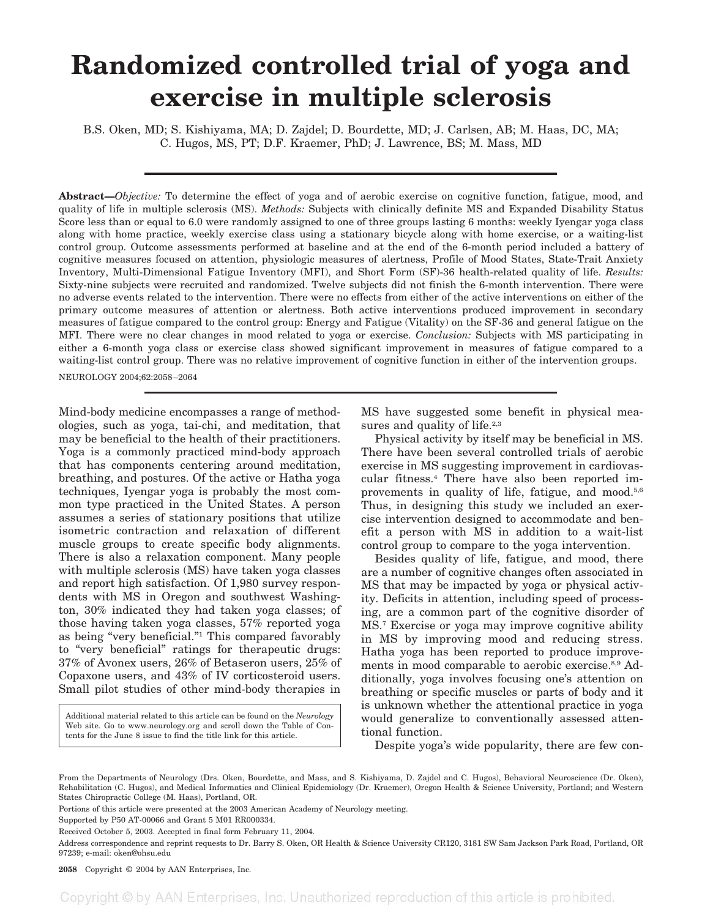## **Randomized controlled trial of yoga and exercise in multiple sclerosis**

B.S. Oken, MD; S. Kishiyama, MA; D. Zajdel; D. Bourdette, MD; J. Carlsen, AB; M. Haas, DC, MA; C. Hugos, MS, PT; D.F. Kraemer, PhD; J. Lawrence, BS; M. Mass, MD

**Abstract—***Objective:* To determine the effect of yoga and of aerobic exercise on cognitive function, fatigue, mood, and quality of life in multiple sclerosis (MS). *Methods:* Subjects with clinically definite MS and Expanded Disability Status Score less than or equal to 6.0 were randomly assigned to one of three groups lasting 6 months: weekly Iyengar yoga class along with home practice, weekly exercise class using a stationary bicycle along with home exercise, or a waiting-list control group. Outcome assessments performed at baseline and at the end of the 6-month period included a battery of cognitive measures focused on attention, physiologic measures of alertness, Profile of Mood States, State-Trait Anxiety Inventory, Multi-Dimensional Fatigue Inventory (MFI), and Short Form (SF)-36 health-related quality of life. *Results:* Sixty-nine subjects were recruited and randomized. Twelve subjects did not finish the 6-month intervention. There were no adverse events related to the intervention. There were no effects from either of the active interventions on either of the primary outcome measures of attention or alertness. Both active interventions produced improvement in secondary measures of fatigue compared to the control group: Energy and Fatigue (Vitality) on the SF-36 and general fatigue on the MFI. There were no clear changes in mood related to yoga or exercise. *Conclusion:* Subjects with MS participating in either a 6-month yoga class or exercise class showed significant improvement in measures of fatigue compared to a waiting-list control group. There was no relative improvement of cognitive function in either of the intervention groups.

NEUROLOGY 2004;62:2058–2064

Mind-body medicine encompasses a range of methodologies, such as yoga, tai-chi, and meditation, that may be beneficial to the health of their practitioners. Yoga is a commonly practiced mind-body approach that has components centering around meditation, breathing, and postures. Of the active or Hatha yoga techniques, Iyengar yoga is probably the most common type practiced in the United States. A person assumes a series of stationary positions that utilize isometric contraction and relaxation of different muscle groups to create specific body alignments. There is also a relaxation component. Many people with multiple sclerosis (MS) have taken yoga classes and report high satisfaction. Of 1,980 survey respondents with MS in Oregon and southwest Washington, 30% indicated they had taken yoga classes; of those having taken yoga classes, 57% reported yoga as being "very beneficial."1 This compared favorably to "very beneficial" ratings for therapeutic drugs: 37% of Avonex users, 26% of Betaseron users, 25% of Copaxone users, and 43% of IV corticosteroid users. Small pilot studies of other mind-body therapies in

Additional material related to this article can be found on the *Neurology* Web site. Go to www.neurology.org and scroll down the Table of Contents for the June 8 issue to find the title link for this article.

MS have suggested some benefit in physical measures and quality of life.<sup>2,3</sup>

Physical activity by itself may be beneficial in MS. There have been several controlled trials of aerobic exercise in MS suggesting improvement in cardiovascular fitness.4 There have also been reported improvements in quality of life, fatigue, and mood.<sup>5,6</sup> Thus, in designing this study we included an exercise intervention designed to accommodate and benefit a person with MS in addition to a wait-list control group to compare to the yoga intervention.

Besides quality of life, fatigue, and mood, there are a number of cognitive changes often associated in MS that may be impacted by yoga or physical activity. Deficits in attention, including speed of processing, are a common part of the cognitive disorder of MS.7 Exercise or yoga may improve cognitive ability in MS by improving mood and reducing stress. Hatha yoga has been reported to produce improvements in mood comparable to aerobic exercise.8,9 Additionally, yoga involves focusing one's attention on breathing or specific muscles or parts of body and it is unknown whether the attentional practice in yoga would generalize to conventionally assessed attentional function.

Despite yoga's wide popularity, there are few con-

From the Departments of Neurology (Drs. Oken, Bourdette, and Mass, and S. Kishiyama, D. Zajdel and C. Hugos), Behavioral Neuroscience (Dr. Oken), Rehabilitation (C. Hugos), and Medical Informatics and Clinical Epidemiology (Dr. Kraemer), Oregon Health & Science University, Portland; and Western States Chiropractic College (M. Haas), Portland, OR.

Portions of this article were presented at the 2003 American Academy of Neurology meeting.

Supported by P50 AT-00066 and Grant 5 M01 RR000334.

Received October 5, 2003. Accepted in final form February 11, 2004.

Address correspondence and reprint requests to Dr. Barry S. Oken, OR Health & Science University CR120, 3181 SW Sam Jackson Park Road, Portland, OR 97239; e-mail: oken@ohsu.edu

**2058** Copyright © 2004 by AAN Enterprises, Inc.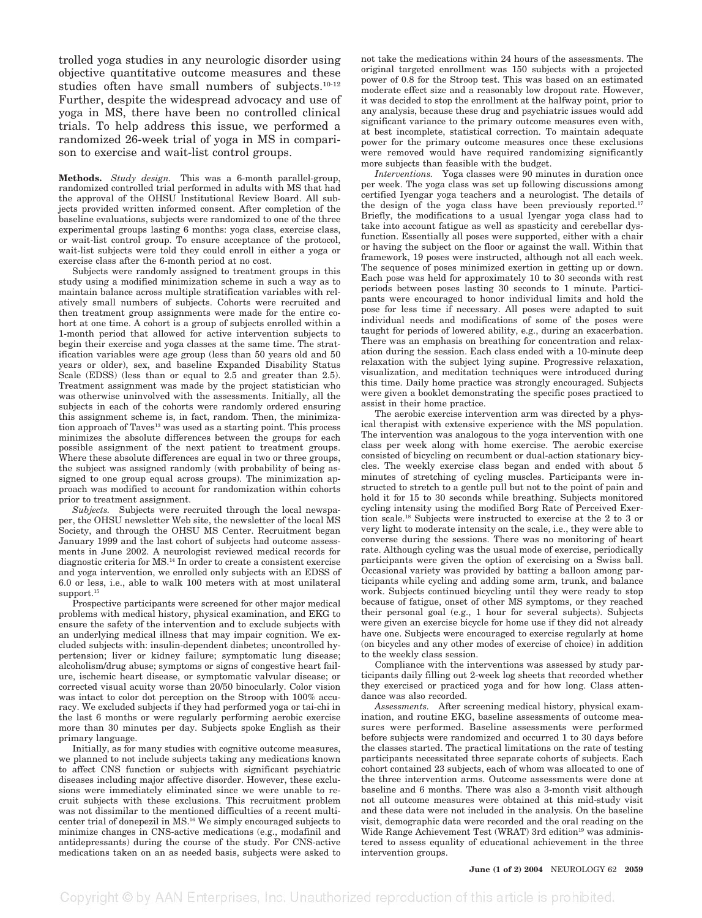trolled yoga studies in any neurologic disorder using objective quantitative outcome measures and these studies often have small numbers of subjects.10-12 Further, despite the widespread advocacy and use of yoga in MS, there have been no controlled clinical trials. To help address this issue, we performed a randomized 26-week trial of yoga in MS in comparison to exercise and wait-list control groups.

**Methods.** *Study design.* This was a 6-month parallel-group, randomized controlled trial performed in adults with MS that had the approval of the OHSU Institutional Review Board. All subjects provided written informed consent. After completion of the baseline evaluations, subjects were randomized to one of the three experimental groups lasting 6 months: yoga class, exercise class, or wait-list control group. To ensure acceptance of the protocol, wait-list subjects were told they could enroll in either a yoga or exercise class after the 6-month period at no cost.

Subjects were randomly assigned to treatment groups in this study using a modified minimization scheme in such a way as to maintain balance across multiple stratification variables with relatively small numbers of subjects. Cohorts were recruited and then treatment group assignments were made for the entire cohort at one time. A cohort is a group of subjects enrolled within a 1-month period that allowed for active intervention subjects to begin their exercise and yoga classes at the same time. The stratification variables were age group (less than 50 years old and 50 years or older), sex, and baseline Expanded Disability Status Scale (EDSS) (less than or equal to  $2.\overline{5}$  and greater than 2.5). Treatment assignment was made by the project statistician who was otherwise uninvolved with the assessments. Initially, all the subjects in each of the cohorts were randomly ordered ensuring this assignment scheme is, in fact, random. Then, the minimization approach of Taves<sup>13</sup> was used as a starting point. This process minimizes the absolute differences between the groups for each possible assignment of the next patient to treatment groups. Where these absolute differences are equal in two or three groups, the subject was assigned randomly (with probability of being assigned to one group equal across groups). The minimization approach was modified to account for randomization within cohorts prior to treatment assignment.

*Subjects.* Subjects were recruited through the local newspaper, the OHSU newsletter Web site, the newsletter of the local MS Society, and through the OHSU MS Center. Recruitment began January 1999 and the last cohort of subjects had outcome assessments in June 2002. A neurologist reviewed medical records for diagnostic criteria for MS.14 In order to create a consistent exercise and yoga intervention, we enrolled only subjects with an EDSS of 6.0 or less, i.e., able to walk 100 meters with at most unilateral support.<sup>15</sup>

Prospective participants were screened for other major medical problems with medical history, physical examination, and EKG to ensure the safety of the intervention and to exclude subjects with an underlying medical illness that may impair cognition. We excluded subjects with: insulin-dependent diabetes; uncontrolled hypertension; liver or kidney failure; symptomatic lung disease; alcoholism/drug abuse; symptoms or signs of congestive heart failure, ischemic heart disease, or symptomatic valvular disease; or corrected visual acuity worse than 20/50 binocularly. Color vision was intact to color dot perception on the Stroop with 100% accuracy. We excluded subjects if they had performed yoga or tai-chi in the last 6 months or were regularly performing aerobic exercise more than 30 minutes per day. Subjects spoke English as their primary language.

Initially, as for many studies with cognitive outcome measures, we planned to not include subjects taking any medications known to affect CNS function or subjects with significant psychiatric diseases including major affective disorder. However, these exclusions were immediately eliminated since we were unable to recruit subjects with these exclusions. This recruitment problem was not dissimilar to the mentioned difficulties of a recent multicenter trial of donepezil in MS.16 We simply encouraged subjects to minimize changes in CNS-active medications (e.g., modafinil and antidepressants) during the course of the study. For CNS-active medications taken on an as needed basis, subjects were asked to not take the medications within 24 hours of the assessments. The original targeted enrollment was 150 subjects with a projected power of 0.8 for the Stroop test. This was based on an estimated moderate effect size and a reasonably low dropout rate. However, it was decided to stop the enrollment at the halfway point, prior to any analysis, because these drug and psychiatric issues would add significant variance to the primary outcome measures even with, at best incomplete, statistical correction. To maintain adequate power for the primary outcome measures once these exclusions were removed would have required randomizing significantly more subjects than feasible with the budget.

*Interventions.* Yoga classes were 90 minutes in duration once per week. The yoga class was set up following discussions among certified Iyengar yoga teachers and a neurologist. The details of the design of the yoga class have been previously reported.<sup>17</sup> Briefly, the modifications to a usual Iyengar yoga class had to take into account fatigue as well as spasticity and cerebellar dysfunction. Essentially all poses were supported, either with a chair or having the subject on the floor or against the wall. Within that framework, 19 poses were instructed, although not all each week. The sequence of poses minimized exertion in getting up or down. Each pose was held for approximately 10 to 30 seconds with rest periods between poses lasting 30 seconds to 1 minute. Participants were encouraged to honor individual limits and hold the pose for less time if necessary. All poses were adapted to suit individual needs and modifications of some of the poses were taught for periods of lowered ability, e.g., during an exacerbation. There was an emphasis on breathing for concentration and relaxation during the session. Each class ended with a 10-minute deep relaxation with the subject lying supine. Progressive relaxation, visualization, and meditation techniques were introduced during this time. Daily home practice was strongly encouraged. Subjects were given a booklet demonstrating the specific poses practiced to assist in their home practice.

The aerobic exercise intervention arm was directed by a physical therapist with extensive experience with the MS population. The intervention was analogous to the yoga intervention with one class per week along with home exercise. The aerobic exercise consisted of bicycling on recumbent or dual-action stationary bicycles. The weekly exercise class began and ended with about 5 minutes of stretching of cycling muscles. Participants were instructed to stretch to a gentle pull but not to the point of pain and hold it for 15 to 30 seconds while breathing. Subjects monitored cycling intensity using the modified Borg Rate of Perceived Exertion scale.18 Subjects were instructed to exercise at the 2 to 3 or very light to moderate intensity on the scale, i.e., they were able to converse during the sessions. There was no monitoring of heart rate. Although cycling was the usual mode of exercise, periodically participants were given the option of exercising on a Swiss ball. Occasional variety was provided by batting a balloon among participants while cycling and adding some arm, trunk, and balance work. Subjects continued bicycling until they were ready to stop because of fatigue, onset of other MS symptoms, or they reached their personal goal (e.g., 1 hour for several subjects). Subjects were given an exercise bicycle for home use if they did not already have one. Subjects were encouraged to exercise regularly at home (on bicycles and any other modes of exercise of choice) in addition to the weekly class session.

Compliance with the interventions was assessed by study participants daily filling out 2-week log sheets that recorded whether they exercised or practiced yoga and for how long. Class attendance was also recorded.

*Assessments.* After screening medical history, physical examination, and routine EKG, baseline assessments of outcome measures were performed. Baseline assessments were performed before subjects were randomized and occurred 1 to 30 days before the classes started. The practical limitations on the rate of testing participants necessitated three separate cohorts of subjects. Each cohort contained 23 subjects, each of whom was allocated to one of the three intervention arms. Outcome assessments were done at baseline and 6 months. There was also a 3-month visit although not all outcome measures were obtained at this mid-study visit and these data were not included in the analysis. On the baseline visit, demographic data were recorded and the oral reading on the Wide Range Achievement Test (WRAT) 3rd edition<sup>19</sup> was administered to assess equality of educational achievement in the three intervention groups.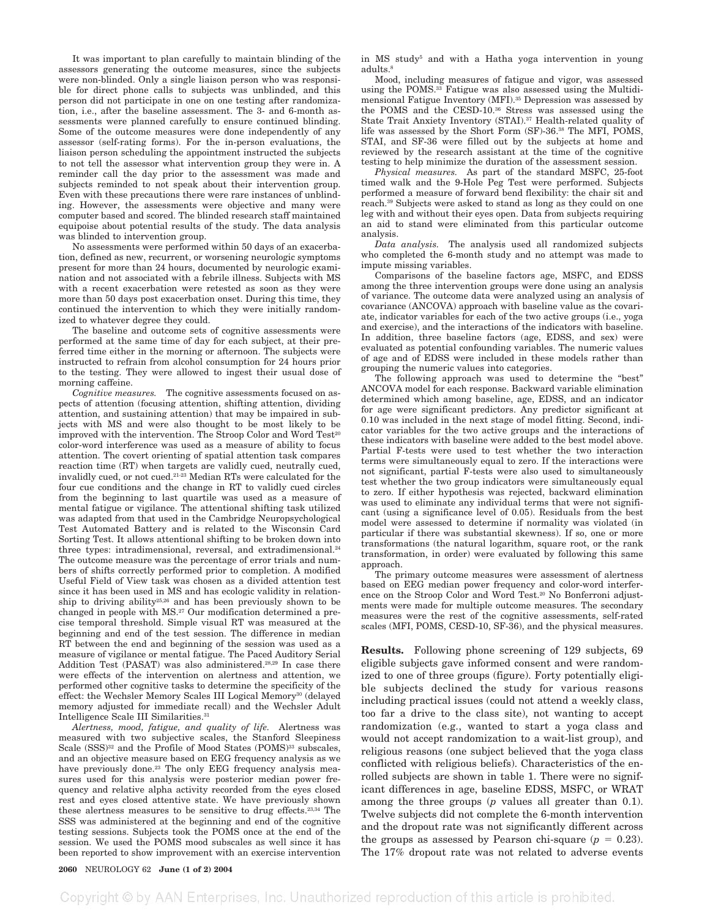It was important to plan carefully to maintain blinding of the assessors generating the outcome measures, since the subjects were non-blinded. Only a single liaison person who was responsible for direct phone calls to subjects was unblinded, and this person did not participate in one on one testing after randomization, i.e., after the baseline assessment. The 3- and 6-month assessments were planned carefully to ensure continued blinding. Some of the outcome measures were done independently of any assessor (self-rating forms). For the in-person evaluations, the liaison person scheduling the appointment instructed the subjects to not tell the assessor what intervention group they were in. A reminder call the day prior to the assessment was made and subjects reminded to not speak about their intervention group. Even with these precautions there were rare instances of unblinding. However, the assessments were objective and many were computer based and scored. The blinded research staff maintained equipoise about potential results of the study. The data analysis was blinded to intervention group.

No assessments were performed within 50 days of an exacerbation, defined as new, recurrent, or worsening neurologic symptoms present for more than 24 hours, documented by neurologic examination and not associated with a febrile illness. Subjects with MS with a recent exacerbation were retested as soon as they were more than 50 days post exacerbation onset. During this time, they continued the intervention to which they were initially randomized to whatever degree they could.

The baseline and outcome sets of cognitive assessments were performed at the same time of day for each subject, at their preferred time either in the morning or afternoon. The subjects were instructed to refrain from alcohol consumption for 24 hours prior to the testing. They were allowed to ingest their usual dose of morning caffeine.

*Cognitive measures.* The cognitive assessments focused on aspects of attention (focusing attention, shifting attention, dividing attention, and sustaining attention) that may be impaired in subjects with MS and were also thought to be most likely to be improved with the intervention. The Stroop Color and Word Test<sup>20</sup> color-word interference was used as a measure of ability to focus attention. The covert orienting of spatial attention task compares reaction time (RT) when targets are validly cued, neutrally cued, invalidly cued, or not cued.21-23 Median RTs were calculated for the four cue conditions and the change in RT to validly cued circles from the beginning to last quartile was used as a measure of mental fatigue or vigilance. The attentional shifting task utilized was adapted from that used in the Cambridge Neuropsychological Test Automated Battery and is related to the Wisconsin Card Sorting Test. It allows attentional shifting to be broken down into three types: intradimensional, reversal, and extradimensional.<sup>24</sup> The outcome measure was the percentage of error trials and numbers of shifts correctly performed prior to completion. A modified Useful Field of View task was chosen as a divided attention test since it has been used in MS and has ecologic validity in relationship to driving ability25,26 and has been previously shown to be changed in people with MS.27 Our modification determined a precise temporal threshold. Simple visual RT was measured at the beginning and end of the test session. The difference in median RT between the end and beginning of the session was used as a measure of vigilance or mental fatigue. The Paced Auditory Serial Addition Test (PASAT) was also administered.<sup>28,29</sup> In case there were effects of the intervention on alertness and attention, we performed other cognitive tasks to determine the specificity of the effect: the Wechsler Memory Scales III Logical Memory<sup>30</sup> (delayed memory adjusted for immediate recall) and the Wechsler Adult Intelligence Scale III Similarities.31

*Alertness, mood, fatigue, and quality of life.* Alertness was measured with two subjective scales, the Stanford Sleepiness Scale (SSS)<sup>32</sup> and the Profile of Mood States (POMS)<sup>33</sup> subscales, and an objective measure based on EEG frequency analysis as we have previously done.<sup>23</sup> The only EEG frequency analysis measures used for this analysis were posterior median power frequency and relative alpha activity recorded from the eyes closed rest and eyes closed attentive state. We have previously shown these alertness measures to be sensitive to drug effects.23,34 The SSS was administered at the beginning and end of the cognitive testing sessions. Subjects took the POMS once at the end of the session. We used the POMS mood subscales as well since it has been reported to show improvement with an exercise intervention in MS study<sup>5</sup> and with a Hatha yoga intervention in young adults.8

Mood, including measures of fatigue and vigor, was assessed using the POMS.33 Fatigue was also assessed using the Multidimensional Fatigue Inventory (MFI).35 Depression was assessed by the POMS and the CESD-10.36 Stress was assessed using the State Trait Anxiety Inventory (STAI).37 Health-related quality of life was assessed by the Short Form (SF)-36.38 The MFI, POMS, STAI, and SF-36 were filled out by the subjects at home and reviewed by the research assistant at the time of the cognitive testing to help minimize the duration of the assessment session.

*Physical measures.* As part of the standard MSFC, 25-foot timed walk and the 9-Hole Peg Test were performed. Subjects performed a measure of forward bend flexibility: the chair sit and reach.39 Subjects were asked to stand as long as they could on one leg with and without their eyes open. Data from subjects requiring an aid to stand were eliminated from this particular outcome analysis.

*Data analysis.* The analysis used all randomized subjects who completed the 6-month study and no attempt was made to impute missing variables.

Comparisons of the baseline factors age, MSFC, and EDSS among the three intervention groups were done using an analysis of variance. The outcome data were analyzed using an analysis of covariance (ANCOVA) approach with baseline value as the covariate, indicator variables for each of the two active groups (i.e., yoga and exercise), and the interactions of the indicators with baseline. In addition, three baseline factors (age, EDSS, and sex) were evaluated as potential confounding variables. The numeric values of age and of EDSS were included in these models rather than grouping the numeric values into categories.

The following approach was used to determine the "best" ANCOVA model for each response. Backward variable elimination determined which among baseline, age, EDSS, and an indicator for age were significant predictors. Any predictor significant at 0.10 was included in the next stage of model fitting. Second, indicator variables for the two active groups and the interactions of these indicators with baseline were added to the best model above. Partial F-tests were used to test whether the two interaction terms were simultaneously equal to zero. If the interactions were not significant, partial F-tests were also used to simultaneously test whether the two group indicators were simultaneously equal to zero. If either hypothesis was rejected, backward elimination was used to eliminate any individual terms that were not significant (using a significance level of 0.05). Residuals from the best model were assessed to determine if normality was violated (in particular if there was substantial skewness). If so, one or more transformations (the natural logarithm, square root, or the rank transformation, in order) were evaluated by following this same approach.

The primary outcome measures were assessment of alertness based on EEG median power frequency and color-word interference on the Stroop Color and Word Test.20 No Bonferroni adjustments were made for multiple outcome measures. The secondary measures were the rest of the cognitive assessments, self-rated scales (MFI, POMS, CESD-10, SF-36), and the physical measures.

**Results.** Following phone screening of 129 subjects, 69 eligible subjects gave informed consent and were randomized to one of three groups (figure). Forty potentially eligible subjects declined the study for various reasons including practical issues (could not attend a weekly class, too far a drive to the class site), not wanting to accept randomization (e.g., wanted to start a yoga class and would not accept randomization to a wait-list group), and religious reasons (one subject believed that the yoga class conflicted with religious beliefs). Characteristics of the enrolled subjects are shown in table 1. There were no significant differences in age, baseline EDSS, MSFC, or WRAT among the three groups (*p* values all greater than 0.1). Twelve subjects did not complete the 6-month intervention and the dropout rate was not significantly different across the groups as assessed by Pearson chi-square  $(p = 0.23)$ . The 17% dropout rate was not related to adverse events

**2060** NEUROLOGY 62 **June (1 of 2) 2004**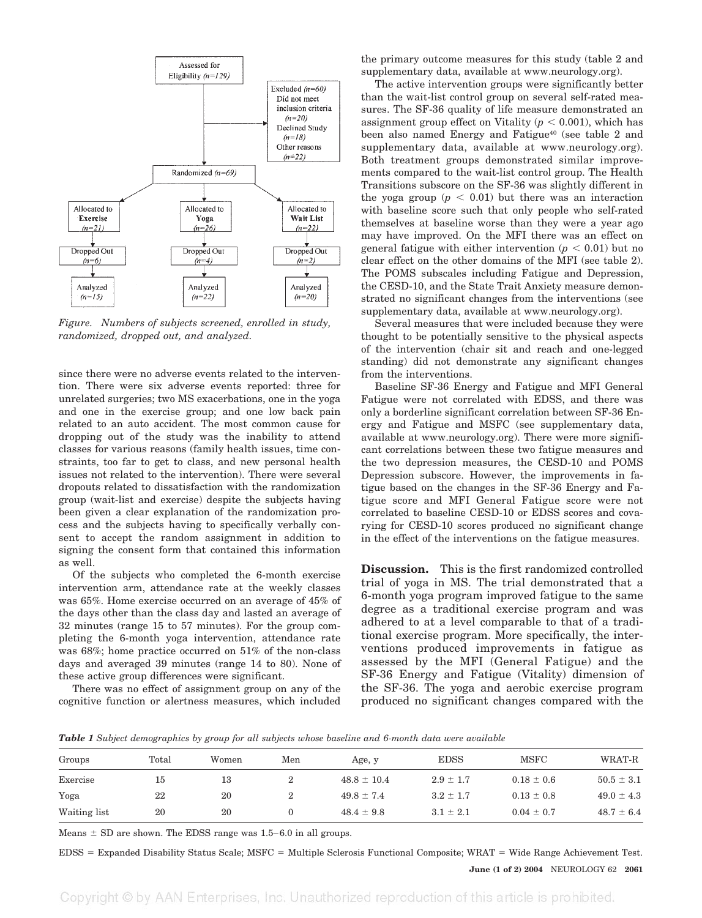

*Figure. Numbers of subjects screened, enrolled in study, randomized, dropped out, and analyzed.*

since there were no adverse events related to the intervention. There were six adverse events reported: three for unrelated surgeries; two MS exacerbations, one in the yoga and one in the exercise group; and one low back pain related to an auto accident. The most common cause for dropping out of the study was the inability to attend classes for various reasons (family health issues, time constraints, too far to get to class, and new personal health issues not related to the intervention). There were several dropouts related to dissatisfaction with the randomization group (wait-list and exercise) despite the subjects having been given a clear explanation of the randomization process and the subjects having to specifically verbally consent to accept the random assignment in addition to signing the consent form that contained this information as well.

Of the subjects who completed the 6-month exercise intervention arm, attendance rate at the weekly classes was 65%. Home exercise occurred on an average of 45% of the days other than the class day and lasted an average of 32 minutes (range 15 to 57 minutes). For the group completing the 6-month yoga intervention, attendance rate was 68%; home practice occurred on 51% of the non-class days and averaged 39 minutes (range 14 to 80). None of these active group differences were significant.

There was no effect of assignment group on any of the cognitive function or alertness measures, which included

the primary outcome measures for this study (table 2 and supplementary data, available at www.neurology.org).

The active intervention groups were significantly better than the wait-list control group on several self-rated measures. The SF-36 quality of life measure demonstrated an assignment group effect on Vitality  $(p < 0.001)$ , which has been also named Energy and Fatigue<sup>40</sup> (see table 2 and supplementary data, available at www.neurology.org). Both treatment groups demonstrated similar improvements compared to the wait-list control group. The Health Transitions subscore on the SF-36 was slightly different in the yoga group  $(p < 0.01)$  but there was an interaction with baseline score such that only people who self-rated themselves at baseline worse than they were a year ago may have improved. On the MFI there was an effect on general fatigue with either intervention  $(p < 0.01)$  but no clear effect on the other domains of the MFI (see table 2). The POMS subscales including Fatigue and Depression, the CESD-10, and the State Trait Anxiety measure demonstrated no significant changes from the interventions (see supplementary data, available at www.neurology.org).

Several measures that were included because they were thought to be potentially sensitive to the physical aspects of the intervention (chair sit and reach and one-legged standing) did not demonstrate any significant changes from the interventions.

Baseline SF-36 Energy and Fatigue and MFI General Fatigue were not correlated with EDSS, and there was only a borderline significant correlation between SF-36 Energy and Fatigue and MSFC (see supplementary data, available at www.neurology.org). There were more significant correlations between these two fatigue measures and the two depression measures, the CESD-10 and POMS Depression subscore. However, the improvements in fatigue based on the changes in the SF-36 Energy and Fatigue score and MFI General Fatigue score were not correlated to baseline CESD-10 or EDSS scores and covarying for CESD-10 scores produced no significant change in the effect of the interventions on the fatigue measures.

**Discussion.** This is the first randomized controlled trial of yoga in MS. The trial demonstrated that a 6-month yoga program improved fatigue to the same degree as a traditional exercise program and was adhered to at a level comparable to that of a traditional exercise program. More specifically, the interventions produced improvements in fatigue as assessed by the MFI (General Fatigue) and the SF-36 Energy and Fatigue (Vitality) dimension of the SF-36. The yoga and aerobic exercise program produced no significant changes compared with the

*Table 1 Subject demographics by group for all subjects whose baseline and 6-month data were available*

| Groups       | Total | Women | Men    | Age, y          | <b>EDSS</b>   | <b>MSFC</b>    | WRAT-R         |
|--------------|-------|-------|--------|-----------------|---------------|----------------|----------------|
| Exercise     | 15    | 13    | $^{2}$ | $48.8 \pm 10.4$ | $2.9 \pm 1.7$ | $0.18 \pm 0.6$ | $50.5 \pm 3.1$ |
| Yoga         | 22    | 20    | $^{2}$ | $49.8 \pm 7.4$  | $3.2 \pm 1.7$ | $0.13 \pm 0.8$ | $49.0 \pm 4.3$ |
| Waiting list | 20    | 20    |        | $48.4 \pm 9.8$  | $3.1 \pm 2.1$ | $0.04 \pm 0.7$ | $48.7 \pm 6.4$ |

Means  $\pm$  SD are shown. The EDSS range was 1.5–6.0 in all groups.

EDSS Expanded Disability Status Scale; MSFC Multiple Sclerosis Functional Composite; WRAT Wide Range Achievement Test.

**June (1 of 2) 2004** NEUROLOGY 62 **2061**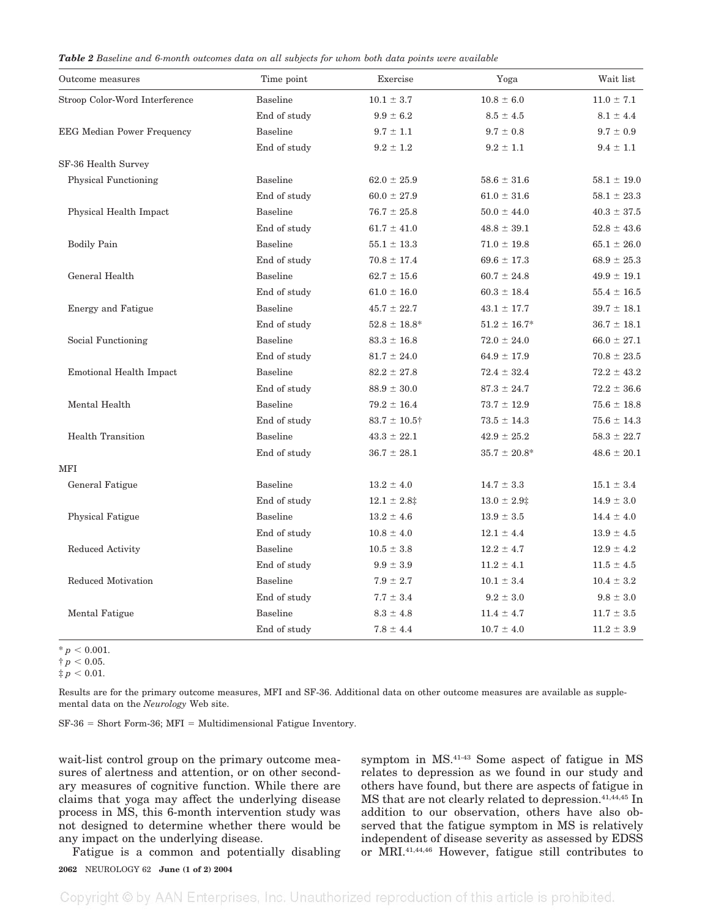*Table 2 Baseline and 6-month outcomes data on all subjects for whom both data points were available*

| Outcome measures                  | Time point      | Exercise          | Yoga              | Wait list       |
|-----------------------------------|-----------------|-------------------|-------------------|-----------------|
| Stroop Color-Word Interference    | <b>Baseline</b> | $10.1 \pm 3.7$    | $10.8 \pm 6.0$    | $11.0 \pm 7.1$  |
|                                   | End of study    | $9.9 \pm 6.2$     | $8.5 \pm 4.5$     | $8.1 \pm 4.4$   |
| <b>EEG Median Power Frequency</b> | <b>Baseline</b> | $9.7 \pm 1.1$     | $9.7 \pm 0.8$     | $9.7 \pm 0.9$   |
|                                   | End of study    | $9.2 \pm 1.2$     | $9.2 \pm 1.1$     | $9.4 \pm 1.1$   |
| SF-36 Health Survey               |                 |                   |                   |                 |
| Physical Functioning              | <b>Baseline</b> | $62.0 \pm 25.9$   | $58.6 \pm 31.6$   | $58.1 \pm 19.0$ |
|                                   | End of study    | $60.0 \pm 27.9$   | $61.0 \pm 31.6$   | $58.1 \pm 23.3$ |
| Physical Health Impact            | <b>Baseline</b> | $76.7 \pm 25.8$   | $50.0 \pm 44.0$   | $40.3 \pm 37.5$ |
|                                   | End of study    | $61.7 \pm 41.0$   | $48.8 \pm 39.1$   | $52.8 \pm 43.6$ |
| <b>Bodily Pain</b>                | <b>Baseline</b> | $55.1 \pm 13.3$   | $71.0 \pm 19.8$   | $65.1 \pm 26.0$ |
|                                   | End of study    | $70.8 \pm 17.4$   | $69.6 \pm 17.3$   | $68.9 \pm 25.3$ |
| General Health                    | <b>Baseline</b> | $62.7 \pm 15.6$   | $60.7 \pm 24.8$   | $49.9 \pm 19.1$ |
|                                   | End of study    | $61.0 \pm 16.0$   | $60.3 \pm 18.4$   | $55.4 \pm 16.5$ |
| <b>Energy and Fatigue</b>         | <b>Baseline</b> | $45.7 \pm 22.7$   | $43.1 \pm 17.7$   | $39.7 \pm 18.1$ |
|                                   | End of study    | $52.8 \pm 18.8^*$ | $51.2 \pm 16.7^*$ | $36.7 \pm 18.1$ |
| Social Functioning                | <b>Baseline</b> | $83.3 \pm 16.8$   | $72.0 \pm 24.0$   | $66.0 \pm 27.1$ |
|                                   | End of study    | $81.7 \pm 24.0$   | $64.9 \pm 17.9$   | $70.8 \pm 23.5$ |
| Emotional Health Impact           | <b>Baseline</b> | $82.2 \pm 27.8$   | $72.4 \pm 32.4$   | $72.2 \pm 43.2$ |
|                                   | End of study    | $88.9 \pm 30.0$   | $87.3 \pm 24.7$   | $72.2 \pm 36.6$ |
| Mental Health                     | <b>Baseline</b> | $79.2 \pm 16.4$   | $73.7 \pm 12.9$   | $75.6 \pm 18.8$ |
|                                   | End of study    | $83.7 \pm 10.5$ † | $73.5 \pm 14.3$   | $75.6 \pm 14.3$ |
| <b>Health Transition</b>          | <b>Baseline</b> | $43.3 \pm 22.1$   | $42.9 \pm 25.2$   | $58.3 \pm 22.7$ |
|                                   | End of study    | $36.7 \pm 28.1$   | $35.7 \pm 20.8^*$ | $48.6 \pm 20.1$ |
| <b>MFI</b>                        |                 |                   |                   |                 |
| General Fatigue                   | <b>Baseline</b> | $13.2 \pm 4.0$    | $14.7 \pm 3.3$    | $15.1 \pm 3.4$  |
|                                   | End of study    | $12.1 \pm 2.8$ ‡  | $13.0 \pm 2.9$    | $14.9 \pm 3.0$  |
| <b>Physical Fatigue</b>           | <b>Baseline</b> | $13.2 \pm 4.6$    | $13.9 \pm 3.5$    | $14.4 \pm 4.0$  |
|                                   | End of study    | $10.8 \pm 4.0$    | $12.1 \pm 4.4$    | $13.9 \pm 4.5$  |
| Reduced Activity                  | <b>Baseline</b> | $10.5 \pm 3.8$    | $12.2 \pm 4.7$    | $12.9 \pm 4.2$  |
|                                   | End of study    | $9.9$ $\pm$ $3.9$ | $11.2 \pm 4.1$    | $11.5 \pm 4.5$  |
| Reduced Motivation                | <b>Baseline</b> | $7.9 \pm 2.7$     | $10.1 \pm 3.4$    | $10.4 \pm 3.2$  |
|                                   | End of study    | $7.7 \pm 3.4$     | $9.2 \pm 3.0$     | $9.8 \pm 3.0$   |
| Mental Fatigue                    | <b>Baseline</b> | $8.3 \pm 4.8$     | $11.4 \pm 4.7$    | $11.7 \pm 3.5$  |
|                                   | End of study    | $7.8 \pm 4.4$     | $10.7 \pm 4.0$    | $11.2 \pm 3.9$  |

 $^{\ast}$   $p$   $<$  0.001.

 $\dagger$   $p$   $< 0.05$ .

 $\ddagger p < 0.01$ .

Results are for the primary outcome measures, MFI and SF-36. Additional data on other outcome measures are available as supplemental data on the *Neurology* Web site.

 $SF-36 = Short Form-36$ ;  $MFI = Multidimensional Fatigue Inventory.$ 

wait-list control group on the primary outcome measures of alertness and attention, or on other secondary measures of cognitive function. While there are claims that yoga may affect the underlying disease process in MS, this 6-month intervention study was not designed to determine whether there would be any impact on the underlying disease.

Fatigue is a common and potentially disabling

symptom in MS.41-43 Some aspect of fatigue in MS relates to depression as we found in our study and others have found, but there are aspects of fatigue in MS that are not clearly related to depression.41,44,45 In addition to our observation, others have also observed that the fatigue symptom in MS is relatively independent of disease severity as assessed by EDSS or MRI.41,44,46 However, fatigue still contributes to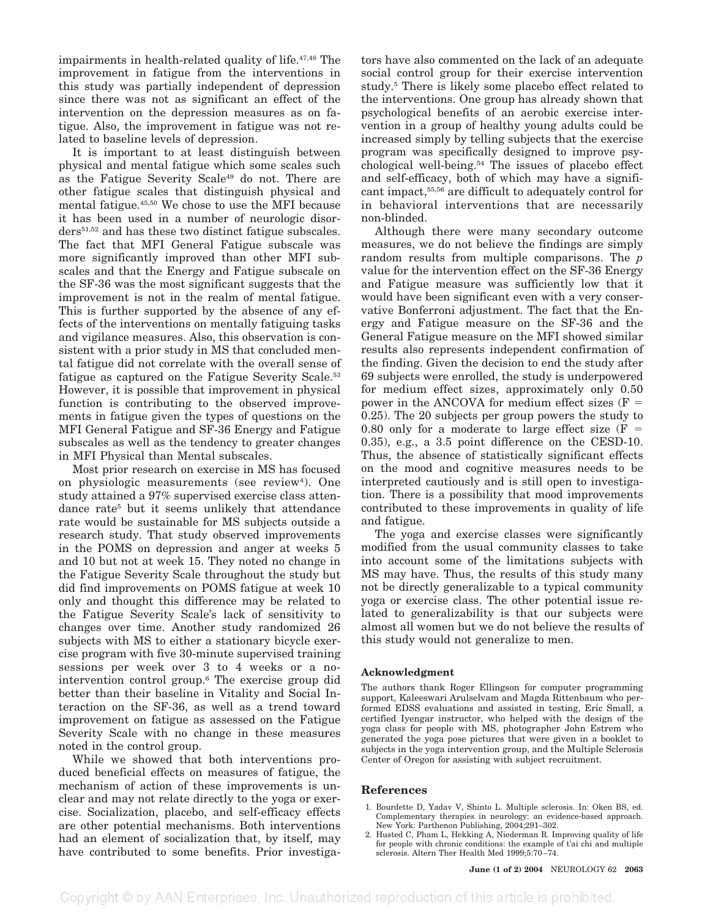impairments in health-related quality of life.47,48 The improvement in fatigue from the interventions in this study was partially independent of depression since there was not as significant an effect of the intervention on the depression measures as on fatigue. Also, the improvement in fatigue was not related to baseline levels of depression.

It is important to at least distinguish between physical and mental fatigue which some scales such as the Fatigue Severity Scale49 do not. There are other fatigue scales that distinguish physical and mental fatigue.45,50 We chose to use the MFI because it has been used in a number of neurologic disorders51,52 and has these two distinct fatigue subscales. The fact that MFI General Fatigue subscale was more significantly improved than other MFI subscales and that the Energy and Fatigue subscale on the SF-36 was the most significant suggests that the improvement is not in the realm of mental fatigue. This is further supported by the absence of any effects of the interventions on mentally fatiguing tasks and vigilance measures. Also, this observation is consistent with a prior study in MS that concluded mental fatigue did not correlate with the overall sense of fatigue as captured on the Fatigue Severity Scale.<sup>53</sup> However, it is possible that improvement in physical function is contributing to the observed improvements in fatigue given the types of questions on the MFI General Fatigue and SF-36 Energy and Fatigue subscales as well as the tendency to greater changes in MFI Physical than Mental subscales.

Most prior research on exercise in MS has focused on physiologic measurements (see review<sup>4</sup>). One study attained a 97% supervised exercise class attendance rate<sup>5</sup> but it seems unlikely that attendance rate would be sustainable for MS subjects outside a research study. That study observed improvements in the POMS on depression and anger at weeks 5 and 10 but not at week 15. They noted no change in the Fatigue Severity Scale throughout the study but did find improvements on POMS fatigue at week 10 only and thought this difference may be related to the Fatigue Severity Scale's lack of sensitivity to changes over time. Another study randomized 26 subjects with MS to either a stationary bicycle exercise program with five 30-minute supervised training sessions per week over 3 to 4 weeks or a nointervention control group.6 The exercise group did better than their baseline in Vitality and Social Interaction on the SF-36, as well as a trend toward improvement on fatigue as assessed on the Fatigue Severity Scale with no change in these measures noted in the control group.

While we showed that both interventions produced beneficial effects on measures of fatigue, the mechanism of action of these improvements is unclear and may not relate directly to the yoga or exercise. Socialization, placebo, and self-efficacy effects are other potential mechanisms. Both interventions had an element of socialization that, by itself, may have contributed to some benefits. Prior investiga-

tors have also commented on the lack of an adequate social control group for their exercise intervention study.5 There is likely some placebo effect related to the interventions. One group has already shown that psychological benefits of an aerobic exercise intervention in a group of healthy young adults could be increased simply by telling subjects that the exercise program was specifically designed to improve psychological well-being.54 The issues of placebo effect and self-efficacy, both of which may have a significant impact,55,56 are difficult to adequately control for in behavioral interventions that are necessarily non-blinded.

Although there were many secondary outcome measures, we do not believe the findings are simply random results from multiple comparisons. The *p* value for the intervention effect on the SF-36 Energy and Fatigue measure was sufficiently low that it would have been significant even with a very conservative Bonferroni adjustment. The fact that the Energy and Fatigue measure on the SF-36 and the General Fatigue measure on the MFI showed similar results also represents independent confirmation of the finding. Given the decision to end the study after 69 subjects were enrolled, the study is underpowered for medium effect sizes, approximately only 0.50 power in the ANCOVA for medium effect sizes  $(F =$ 0.25). The 20 subjects per group powers the study to 0.80 only for a moderate to large effect size  $(F =$ 0.35), e.g., a 3.5 point difference on the CESD-10. Thus, the absence of statistically significant effects on the mood and cognitive measures needs to be interpreted cautiously and is still open to investigation. There is a possibility that mood improvements contributed to these improvements in quality of life and fatigue.

The yoga and exercise classes were significantly modified from the usual community classes to take into account some of the limitations subjects with MS may have. Thus, the results of this study many not be directly generalizable to a typical community yoga or exercise class. The other potential issue related to generalizability is that our subjects were almost all women but we do not believe the results of this study would not generalize to men.

## **Acknowledgment**

The authors thank Roger Ellingson for computer programming support, Kaleeswari Arulselvam and Magda Rittenbaum who performed EDSS evaluations and assisted in testing, Eric Small, a certified Iyengar instructor, who helped with the design of the yoga class for people with MS, photographer John Estrem who generated the yoga pose pictures that were given in a booklet to subjects in the yoga intervention group, and the Multiple Sclerosis Center of Oregon for assisting with subject recruitment.

## **References**

- 1. Bourdette D, Yadav V, Shinto L. Multiple sclerosis. In: Oken BS, ed. Complementary therapies in neurology: an evidence-based approach. New York: Parthenon Publishing, 2004;291–302.
- 2. Husted C, Pham L, Hekking A, Niederman R. Improving quality of life for people with chronic conditions: the example of t'ai chi and multiple sclerosis. Altern Ther Health Med 1999;5:70–74.